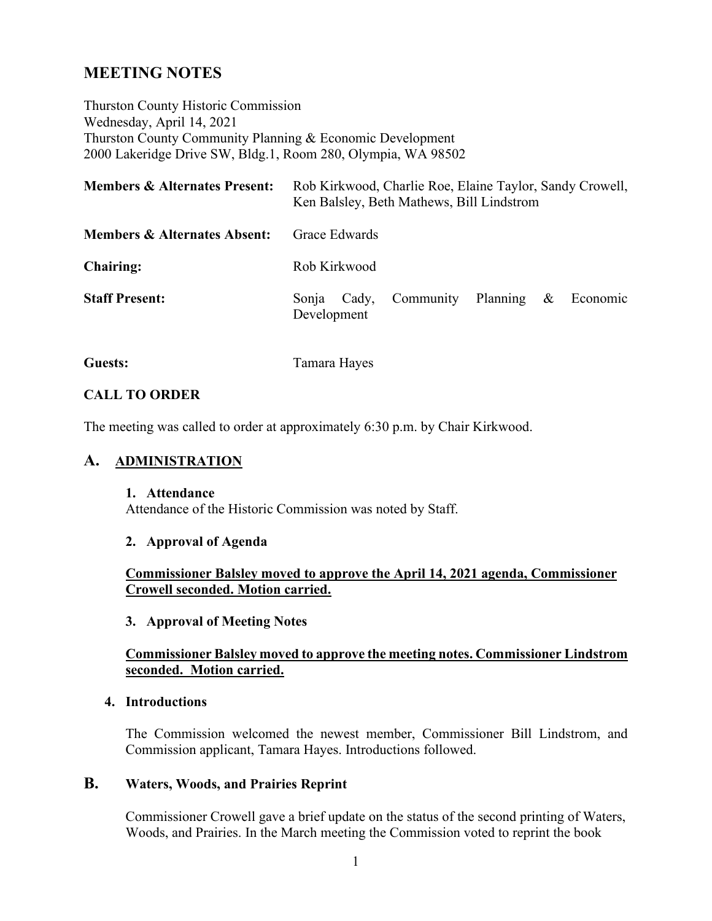# **MEETING NOTES**

Thurston County Historic Commission Wednesday, April 14, 2021 Thurston County Community Planning & Economic Development 2000 Lakeridge Drive SW, Bldg.1, Room 280, Olympia, WA 98502

| <b>Members &amp; Alternates Present:</b> | Rob Kirkwood, Charlie Roe, Elaine Taylor, Sandy Crowell,<br>Ken Balsley, Beth Mathews, Bill Lindstrom |
|------------------------------------------|-------------------------------------------------------------------------------------------------------|
| <b>Members &amp; Alternates Absent:</b>  | Grace Edwards                                                                                         |
| <b>Chairing:</b>                         | Rob Kirkwood                                                                                          |
| <b>Staff Present:</b>                    | Community Planning<br>$\&$<br>Economic<br>Cady,<br>Sonia<br>Development                               |

**Guests:** Tamara Hayes

### **CALL TO ORDER**

The meeting was called to order at approximately 6:30 p.m. by Chair Kirkwood.

## **A. ADMINISTRATION**

#### **1. Attendance**

Attendance of the Historic Commission was noted by Staff.

#### **2. Approval of Agenda**

**Commissioner Balsley moved to approve the April 14, 2021 agenda, Commissioner Crowell seconded. Motion carried.** 

#### **3. Approval of Meeting Notes**

### **Commissioner Balsley moved to approve the meeting notes. Commissioner Lindstrom seconded. Motion carried.**

#### **4. Introductions**

The Commission welcomed the newest member, Commissioner Bill Lindstrom, and Commission applicant, Tamara Hayes. Introductions followed.

## **B. Waters, Woods, and Prairies Reprint**

Commissioner Crowell gave a brief update on the status of the second printing of Waters, Woods, and Prairies. In the March meeting the Commission voted to reprint the book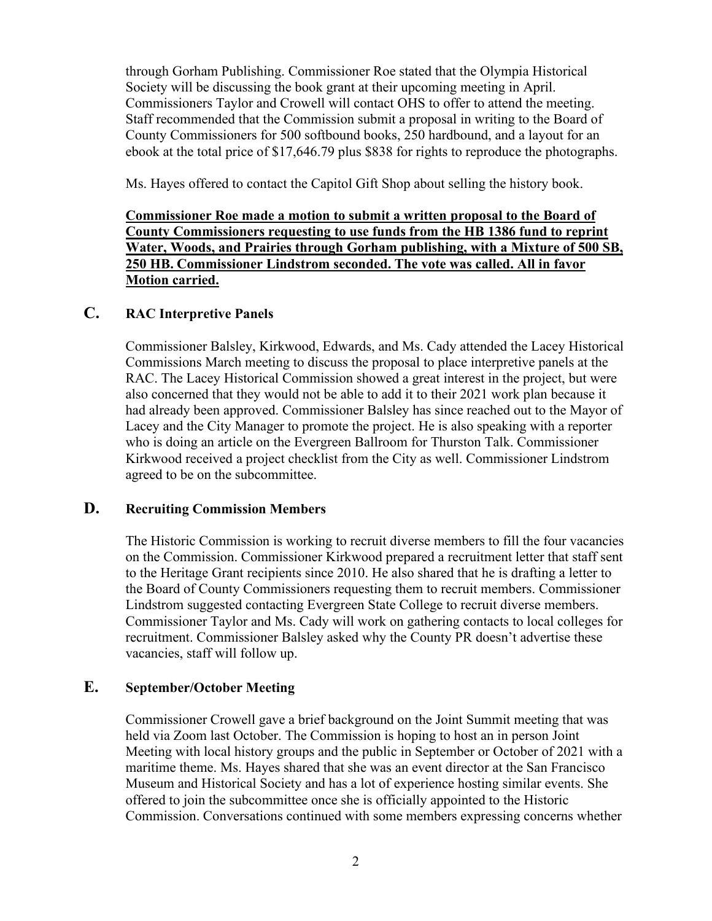through Gorham Publishing. Commissioner Roe stated that the Olympia Historical Society will be discussing the book grant at their upcoming meeting in April. Commissioners Taylor and Crowell will contact OHS to offer to attend the meeting. Staff recommended that the Commission submit a proposal in writing to the Board of County Commissioners for 500 softbound books, 250 hardbound, and a layout for an ebook at the total price of \$17,646.79 plus \$838 for rights to reproduce the photographs.

Ms. Hayes offered to contact the Capitol Gift Shop about selling the history book.

**Commissioner Roe made a motion to submit a written proposal to the Board of County Commissioners requesting to use funds from the HB 1386 fund to reprint Water, Woods, and Prairies through Gorham publishing, with a Mixture of 500 SB, 250 HB. Commissioner Lindstrom seconded. The vote was called. All in favor Motion carried.**

## **C. RAC Interpretive Panels**

Commissioner Balsley, Kirkwood, Edwards, and Ms. Cady attended the Lacey Historical Commissions March meeting to discuss the proposal to place interpretive panels at the RAC. The Lacey Historical Commission showed a great interest in the project, but were also concerned that they would not be able to add it to their 2021 work plan because it had already been approved. Commissioner Balsley has since reached out to the Mayor of Lacey and the City Manager to promote the project. He is also speaking with a reporter who is doing an article on the Evergreen Ballroom for Thurston Talk. Commissioner Kirkwood received a project checklist from the City as well. Commissioner Lindstrom agreed to be on the subcommittee.

## **D. Recruiting Commission Members**

The Historic Commission is working to recruit diverse members to fill the four vacancies on the Commission. Commissioner Kirkwood prepared a recruitment letter that staff sent to the Heritage Grant recipients since 2010. He also shared that he is drafting a letter to the Board of County Commissioners requesting them to recruit members. Commissioner Lindstrom suggested contacting Evergreen State College to recruit diverse members. Commissioner Taylor and Ms. Cady will work on gathering contacts to local colleges for recruitment. Commissioner Balsley asked why the County PR doesn't advertise these vacancies, staff will follow up.

## **E. September/October Meeting**

Commissioner Crowell gave a brief background on the Joint Summit meeting that was held via Zoom last October. The Commission is hoping to host an in person Joint Meeting with local history groups and the public in September or October of 2021 with a maritime theme. Ms. Hayes shared that she was an event director at the San Francisco Museum and Historical Society and has a lot of experience hosting similar events. She offered to join the subcommittee once she is officially appointed to the Historic Commission. Conversations continued with some members expressing concerns whether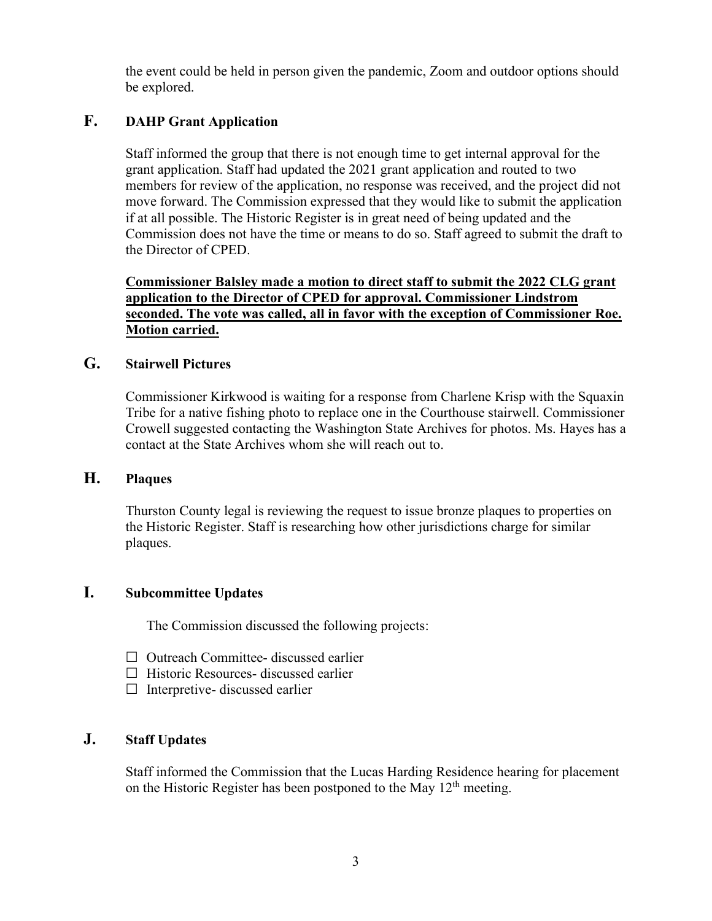the event could be held in person given the pandemic, Zoom and outdoor options should be explored.

## **F. DAHP Grant Application**

Staff informed the group that there is not enough time to get internal approval for the grant application. Staff had updated the 2021 grant application and routed to two members for review of the application, no response was received, and the project did not move forward. The Commission expressed that they would like to submit the application if at all possible. The Historic Register is in great need of being updated and the Commission does not have the time or means to do so. Staff agreed to submit the draft to the Director of CPED.

**Commissioner Balsley made a motion to direct staff to submit the 2022 CLG grant application to the Director of CPED for approval. Commissioner Lindstrom seconded. The vote was called, all in favor with the exception of Commissioner Roe. Motion carried.**

### **G. Stairwell Pictures**

Commissioner Kirkwood is waiting for a response from Charlene Krisp with the Squaxin Tribe for a native fishing photo to replace one in the Courthouse stairwell. Commissioner Crowell suggested contacting the Washington State Archives for photos. Ms. Hayes has a contact at the State Archives whom she will reach out to.

### **H. Plaques**

Thurston County legal is reviewing the request to issue bronze plaques to properties on the Historic Register. Staff is researching how other jurisdictions charge for similar plaques.

## **I. Subcommittee Updates**

The Commission discussed the following projects:

- $\Box$  Outreach Committee- discussed earlier
- $\Box$  Historic Resources- discussed earlier
- $\Box$  Interpretive-discussed earlier

## **J. Staff Updates**

Staff informed the Commission that the Lucas Harding Residence hearing for placement on the Historic Register has been postponed to the May  $12<sup>th</sup>$  meeting.